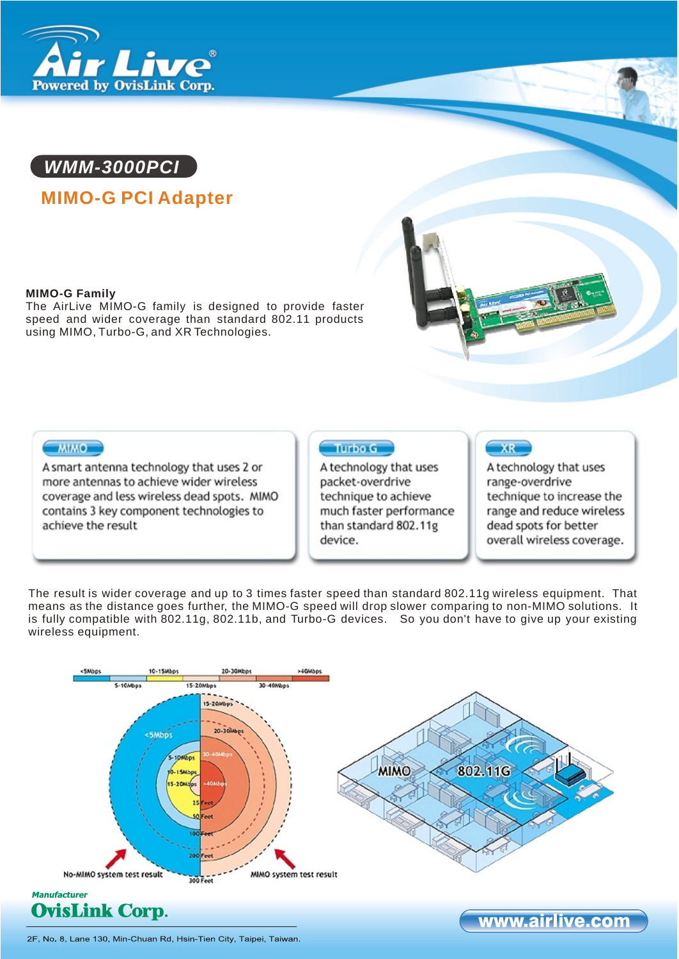



# **MIMO-G PCI Adapter**

#### **MIMO-G Family**

The AirLive MIMO-G family is designed to provide faster speed and wider coverage than standard 802.11 products using MIMO, Turbo-G, and XR Technologies.



# **MIMO**

A smart antenna technology that uses 2 or more antennas to achieve wider wireless coverage and less wireless dead spots. MIMO contains 3 key component technologies to achieve the result

# Turbo G

A technology that uses packet-overdrive technique to achieve much faster performance than standard 802.11g device.

# $XR$

A technology that uses range-overdrive technique to increase the range and reduce wireless dead spots for better overall wireless coverage.

The result is wider coverage and up to 3 times faster speed than standard 802.11g wireless equipment. That means as the distance goes further, the MIMO-G speed will drop slower comparing to non-MIMO solutions. It is fully compatible with 802.11g, 802.11b, and Turbo-G devices. So you don't have to give up your existing wireless equipment.



2F, No. 8, Lane 130, Min-Chuan Rd, Hsin-Tien City, Taipei, Taiwan.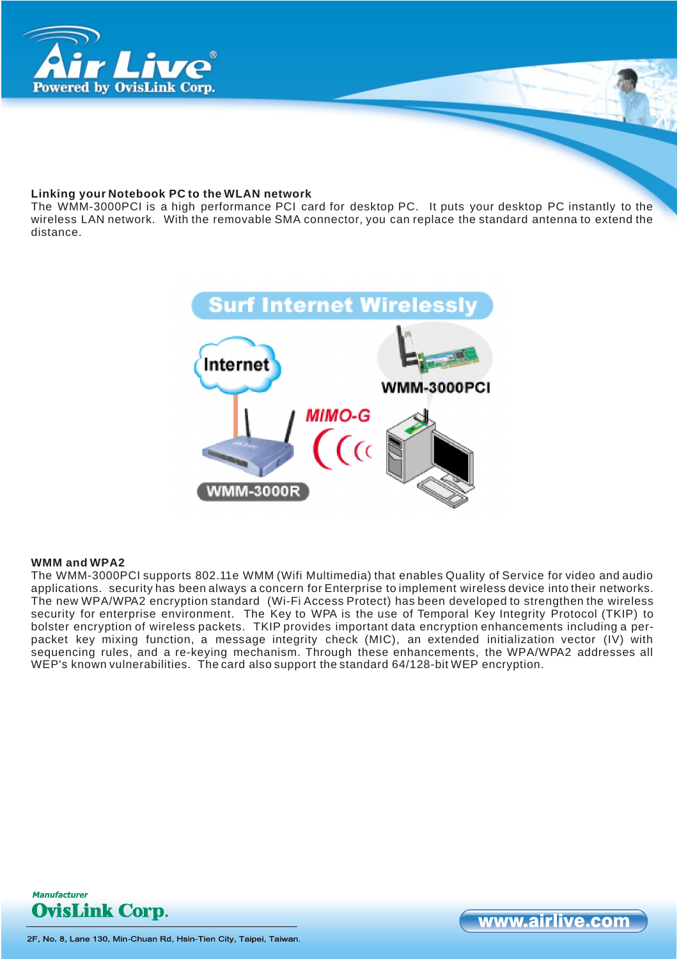

#### **Linking your Notebook PC to the WLAN network**

The WMM-3000PCI is a high performance PCI card for desktop PC. It puts your desktop PC instantly to the wireless LAN network. With the removable SMA connector, you can replace the standard antenna to extend the distance.



#### **WMM and WPA2**

The WMM-3000PCI supports 802.11e WMM (Wifi Multimedia) that enables Quality of Service for video and audio applications. security has been always a concern for Enterprise to implement wireless device into their networks. The new WPA/WPA2 encryption standard (Wi-Fi Access Protect) has been developed to strengthen the wireless security for enterprise environment. The Key to WPA is the use of Temporal Key Integrity Protocol (TKIP) to bolster encryption of wireless packets. TKIP provides important data encryption enhancements including a perpacket key mixing function, a message integrity check (MIC), an extended initialization vector (IV) with sequencing rules, and a re-keying mechanism. Through these enhancements, the WPA/WPA2 addresses all WEP's known vulnerabilities. The card also support the standard 64/128-bit WEP encryption.



www.airlive.com

2F, No. 8, Lane 130, Min-Chuan Rd, Hsin-Tien City, Taipei, Taiwan.